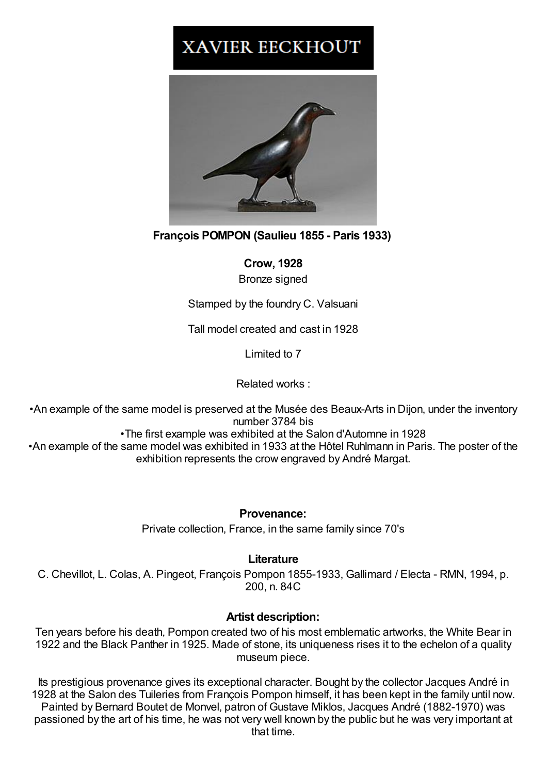## **XAVIER EECKHOUT**



**François POMPON (Saulieu 1855 - Paris 1933)**

**Crow, 1928**

Bronze signed

Stamped by the foundry C. Valsuani

Tall model created and cast in 1928

Limited to 7

Related works :

•An example of the same model is preserved at the Musée des Beaux-Arts in Dijon, under the inventory number 3784 bis •The first example was exhibited at the Salon d'Automne in 1928 •An example of the same model was exhibited in 1933 at the Hôtel Ruhlmann in Paris. The poster of the exhibition represents the crow engraved by André Margat.

**Provenance:**

Private collection, France, in the same family since 70's

## **Literature**

C. Chevillot, L. Colas, A. Pingeot, François Pompon 1855-1933, Gallimard / Electa - RMN, 1994, p. 200, n. 84C

## **Artist description:**

Ten years before his death, Pompon created two of his most emblematic artworks, the White Bear in 1922 and the Black Panther in 1925. Made of stone, its uniqueness rises it to the echelon of a quality museum piece.

Its prestigious provenance gives its exceptional character. Bought by the collector Jacques André in 1928 at the Salon des Tuileries from François Pompon himself, it has been kept in the family until now. Painted by Bernard Boutet de Monvel, patron of Gustave Miklos, Jacques André (1882-1970) was passioned by the art of his time, he was not very well known by the public but he was very important at that time.